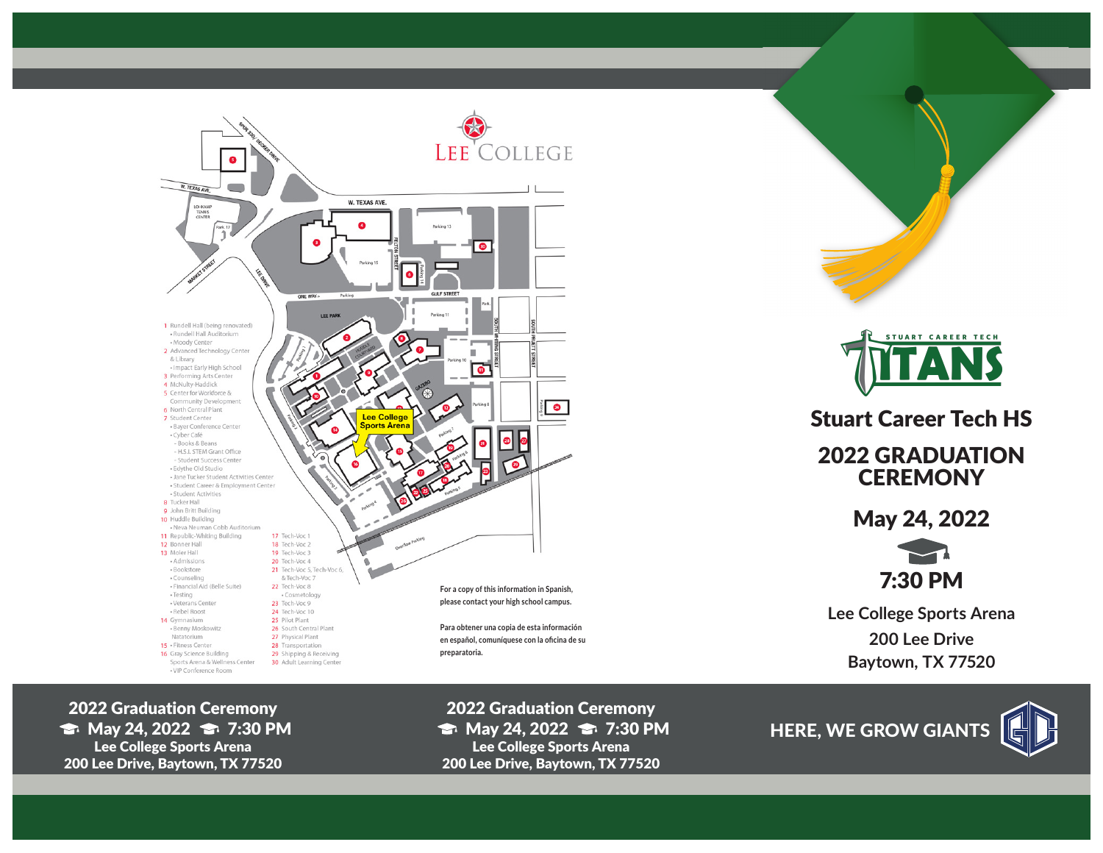

2022 Graduation Ceremony  $\Rightarrow$  May 24, 2022  $\Rightarrow$  7:30 PM Lee College Sports Arena 200 Lee Drive, Baytown, TX 77520



Stuart Career Tech HS

2022 GRADUATION **CEREMONY** 

May 24, 2022

7:30 PM

**Lee College Sports Arena 200 Lee Drive Baytown, TX 77520**

2022 Graduation Ceremony  $\Rightarrow$  May 24, 2022  $\Rightarrow$  7:30 PM Lee College Sports Arena 200 Lee Drive, Baytown, TX 77520

HERE, WE GROW GIANTS